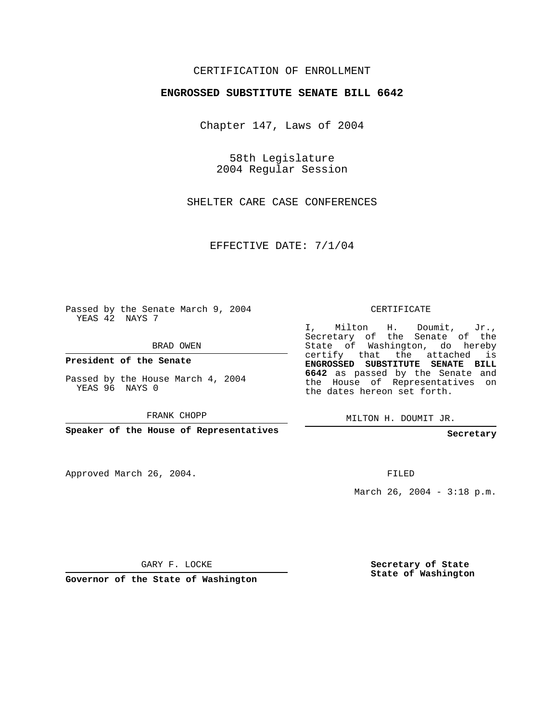## CERTIFICATION OF ENROLLMENT

#### **ENGROSSED SUBSTITUTE SENATE BILL 6642**

Chapter 147, Laws of 2004

58th Legislature 2004 Regular Session

SHELTER CARE CASE CONFERENCES

EFFECTIVE DATE: 7/1/04

Passed by the Senate March 9, 2004 YEAS 42 NAYS 7

BRAD OWEN

**President of the Senate**

Passed by the House March 4, 2004 YEAS 96 NAYS 0

FRANK CHOPP

**Speaker of the House of Representatives**

Approved March 26, 2004.

CERTIFICATE

I, Milton H. Doumit, Jr., Secretary of the Senate of the State of Washington, do hereby certify that the attached is **ENGROSSED SUBSTITUTE SENATE BILL 6642** as passed by the Senate and the House of Representatives on the dates hereon set forth.

MILTON H. DOUMIT JR.

**Secretary**

FILED

March 26, 2004 - 3:18 p.m.

GARY F. LOCKE

**Governor of the State of Washington**

**Secretary of State State of Washington**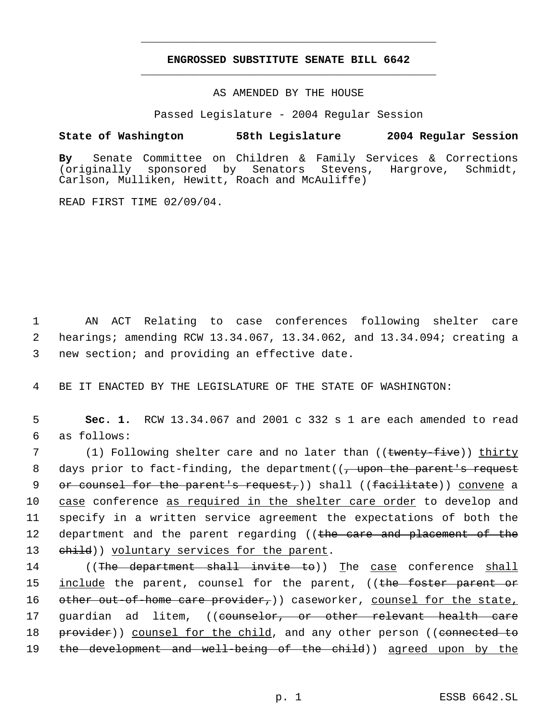# **ENGROSSED SUBSTITUTE SENATE BILL 6642** \_\_\_\_\_\_\_\_\_\_\_\_\_\_\_\_\_\_\_\_\_\_\_\_\_\_\_\_\_\_\_\_\_\_\_\_\_\_\_\_\_\_\_\_\_

\_\_\_\_\_\_\_\_\_\_\_\_\_\_\_\_\_\_\_\_\_\_\_\_\_\_\_\_\_\_\_\_\_\_\_\_\_\_\_\_\_\_\_\_\_

AS AMENDED BY THE HOUSE

Passed Legislature - 2004 Regular Session

## **State of Washington 58th Legislature 2004 Regular Session**

**By** Senate Committee on Children & Family Services & Corrections Senators Stevens, Hargrove, Schmidt, Carlson, Mulliken, Hewitt, Roach and McAuliffe)

READ FIRST TIME 02/09/04.

 1 AN ACT Relating to case conferences following shelter care 2 hearings; amending RCW 13.34.067, 13.34.062, and 13.34.094; creating a 3 new section; and providing an effective date.

4 BE IT ENACTED BY THE LEGISLATURE OF THE STATE OF WASHINGTON:

 5 **Sec. 1.** RCW 13.34.067 and 2001 c 332 s 1 are each amended to read 6 as follows:

7 (1) Following shelter care and no later than ((<del>twenty-five</del>)) <u>thirty</u> 8 days prior to fact-finding, the department((<del>, upon the parent's request</del> 9 or counsel for the parent's request,)) shall ((facilitate)) convene a 10 case conference as required in the shelter care order to develop and 11 specify in a written service agreement the expectations of both the 12 department and the parent regarding ((the care and placement of the 13 ehild)) voluntary services for the parent.

14 ((The department shall invite to)) The case conference shall 15 <u>include</u> the parent, counsel for the parent, ((<del>the foster parent or</del> 16 other out-of-home care provider, ) caseworker, counsel for the state, 17 guardian ad litem, ((counselor, or other relevant health care 18 provider)) counsel for the child, and any other person ((connected to 19 the development and well-being of the child)) agreed upon by the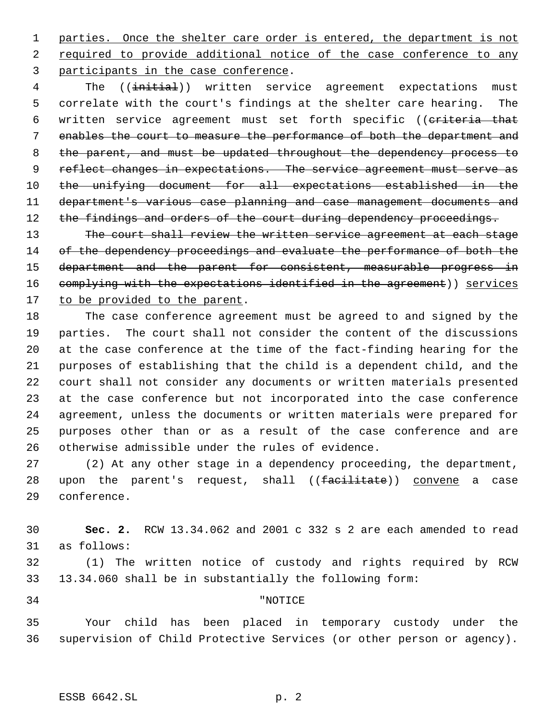parties. Once the shelter care order is entered, the department is not 2 required to provide additional notice of the case conference to any participants in the case conference.

4 The ((initial)) written service agreement expectations must correlate with the court's findings at the shelter care hearing. The 6 written service agreement must set forth specific ((criteria that enables the court to measure the performance of both the department and 8 the parent, and must be updated throughout the dependency process to 9 reflect changes in expectations. The service agreement must serve as the unifying document for all expectations established in the department's various case planning and case management documents and 12 the findings and orders of the court during dependency proceedings.

13 The court shall review the written service agreement at each stage 14 of the dependency proceedings and evaluate the performance of both the 15 department and the parent for consistent, measurable progress in 16 complying with the expectations identified in the agreement)) services 17 to be provided to the parent.

 The case conference agreement must be agreed to and signed by the parties. The court shall not consider the content of the discussions at the case conference at the time of the fact-finding hearing for the purposes of establishing that the child is a dependent child, and the court shall not consider any documents or written materials presented at the case conference but not incorporated into the case conference agreement, unless the documents or written materials were prepared for purposes other than or as a result of the case conference and are otherwise admissible under the rules of evidence.

 (2) At any other stage in a dependency proceeding, the department, 28 upon the parent's request, shall ((facilitate)) convene a case conference.

 **Sec. 2.** RCW 13.34.062 and 2001 c 332 s 2 are each amended to read as follows:

 (1) The written notice of custody and rights required by RCW 13.34.060 shall be in substantially the following form:

# "NOTICE

 Your child has been placed in temporary custody under the supervision of Child Protective Services (or other person or agency).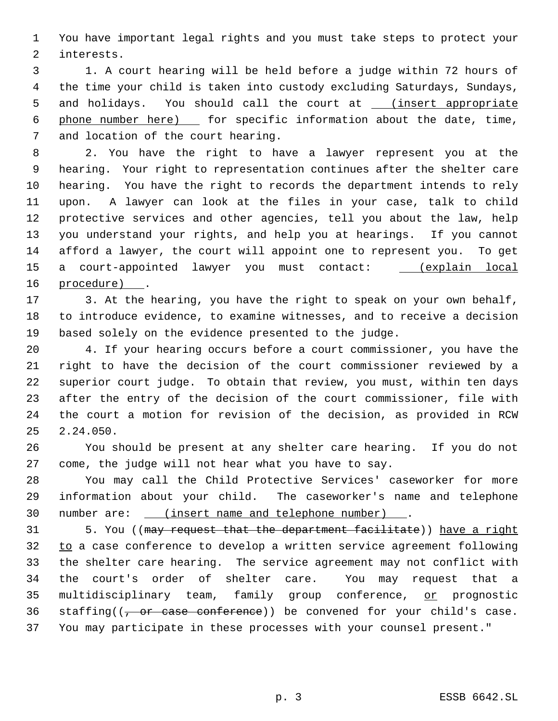You have important legal rights and you must take steps to protect your interests.

 1. A court hearing will be held before a judge within 72 hours of the time your child is taken into custody excluding Saturdays, Sundays, 5 and holidays. You should call the court at \_\_\_ (insert appropriate 6 phone number here) [60] for specific information about the date, time, and location of the court hearing.

 2. You have the right to have a lawyer represent you at the hearing. Your right to representation continues after the shelter care hearing. You have the right to records the department intends to rely upon. A lawyer can look at the files in your case, talk to child protective services and other agencies, tell you about the law, help you understand your rights, and help you at hearings. If you cannot afford a lawyer, the court will appoint one to represent you. To get 15 a court-appointed lawyer you must contact: \_ (explain local procedure) .

 3. At the hearing, you have the right to speak on your own behalf, to introduce evidence, to examine witnesses, and to receive a decision based solely on the evidence presented to the judge.

 4. If your hearing occurs before a court commissioner, you have the right to have the decision of the court commissioner reviewed by a superior court judge. To obtain that review, you must, within ten days after the entry of the decision of the court commissioner, file with the court a motion for revision of the decision, as provided in RCW 2.24.050.

 You should be present at any shelter care hearing. If you do not come, the judge will not hear what you have to say.

 You may call the Child Protective Services' caseworker for more information about your child. The caseworker's name and telephone number are: (insert name and telephone number) .

31 5. You ((may request that the department facilitate)) have a right 32 to a case conference to develop a written service agreement following the shelter care hearing. The service agreement may not conflict with the court's order of shelter care. You may request that a 35 multidisciplinary team, family group conference, or prognostic 36 staffing( $\left(\frac{1}{2}, \frac{1}{2}\right)$  or case conference)) be convened for your child's case. You may participate in these processes with your counsel present."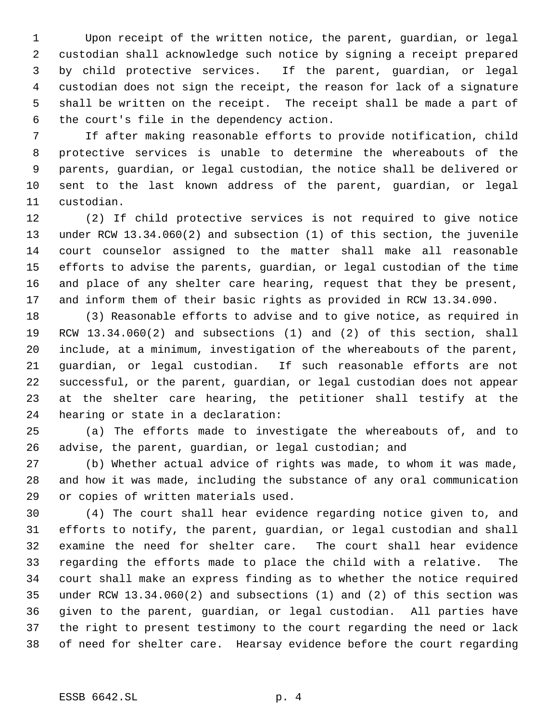Upon receipt of the written notice, the parent, guardian, or legal custodian shall acknowledge such notice by signing a receipt prepared by child protective services. If the parent, guardian, or legal custodian does not sign the receipt, the reason for lack of a signature shall be written on the receipt. The receipt shall be made a part of the court's file in the dependency action.

 If after making reasonable efforts to provide notification, child protective services is unable to determine the whereabouts of the parents, guardian, or legal custodian, the notice shall be delivered or sent to the last known address of the parent, guardian, or legal custodian.

 (2) If child protective services is not required to give notice under RCW 13.34.060(2) and subsection (1) of this section, the juvenile court counselor assigned to the matter shall make all reasonable efforts to advise the parents, guardian, or legal custodian of the time and place of any shelter care hearing, request that they be present, and inform them of their basic rights as provided in RCW 13.34.090.

 (3) Reasonable efforts to advise and to give notice, as required in RCW 13.34.060(2) and subsections (1) and (2) of this section, shall include, at a minimum, investigation of the whereabouts of the parent, guardian, or legal custodian. If such reasonable efforts are not successful, or the parent, guardian, or legal custodian does not appear at the shelter care hearing, the petitioner shall testify at the hearing or state in a declaration:

 (a) The efforts made to investigate the whereabouts of, and to advise, the parent, guardian, or legal custodian; and

 (b) Whether actual advice of rights was made, to whom it was made, and how it was made, including the substance of any oral communication or copies of written materials used.

 (4) The court shall hear evidence regarding notice given to, and efforts to notify, the parent, guardian, or legal custodian and shall examine the need for shelter care. The court shall hear evidence regarding the efforts made to place the child with a relative. The court shall make an express finding as to whether the notice required under RCW 13.34.060(2) and subsections (1) and (2) of this section was given to the parent, guardian, or legal custodian. All parties have the right to present testimony to the court regarding the need or lack of need for shelter care. Hearsay evidence before the court regarding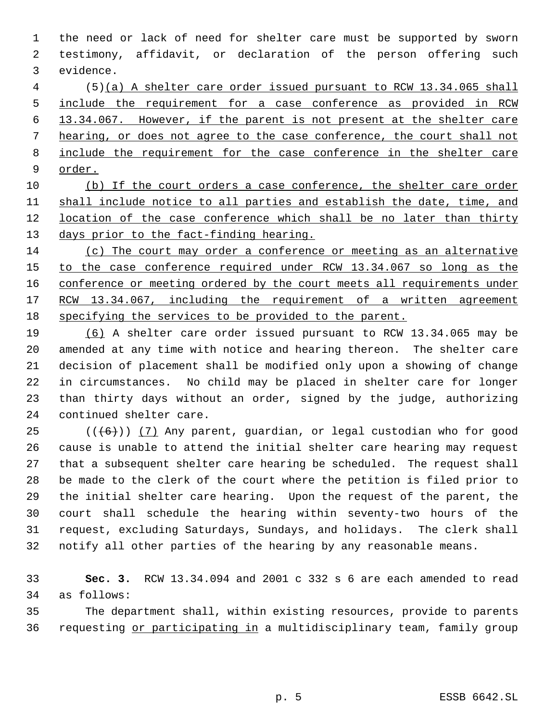the need or lack of need for shelter care must be supported by sworn testimony, affidavit, or declaration of the person offering such evidence.

 (5)(a) A shelter care order issued pursuant to RCW 13.34.065 shall include the requirement for a case conference as provided in RCW 13.34.067. However, if the parent is not present at the shelter care hearing, or does not agree to the case conference, the court shall not 8 include the requirement for the case conference in the shelter care order.

10 (b) If the court orders a case conference, the shelter care order shall include notice to all parties and establish the date, time, and 12 location of the case conference which shall be no later than thirty 13 days prior to the fact-finding hearing.

 (c) The court may order a conference or meeting as an alternative 15 to the case conference required under RCW 13.34.067 so long as the 16 conference or meeting ordered by the court meets all requirements under 17 RCW 13.34.067, including the requirement of a written agreement specifying the services to be provided to the parent.

 (6) A shelter care order issued pursuant to RCW 13.34.065 may be amended at any time with notice and hearing thereon. The shelter care decision of placement shall be modified only upon a showing of change in circumstances. No child may be placed in shelter care for longer than thirty days without an order, signed by the judge, authorizing continued shelter care.

 $((\langle 6 \rangle) )$  (7) Any parent, quardian, or legal custodian who for good cause is unable to attend the initial shelter care hearing may request that a subsequent shelter care hearing be scheduled. The request shall be made to the clerk of the court where the petition is filed prior to the initial shelter care hearing. Upon the request of the parent, the court shall schedule the hearing within seventy-two hours of the request, excluding Saturdays, Sundays, and holidays. The clerk shall notify all other parties of the hearing by any reasonable means.

 **Sec. 3.** RCW 13.34.094 and 2001 c 332 s 6 are each amended to read as follows:

 The department shall, within existing resources, provide to parents requesting or participating in a multidisciplinary team, family group